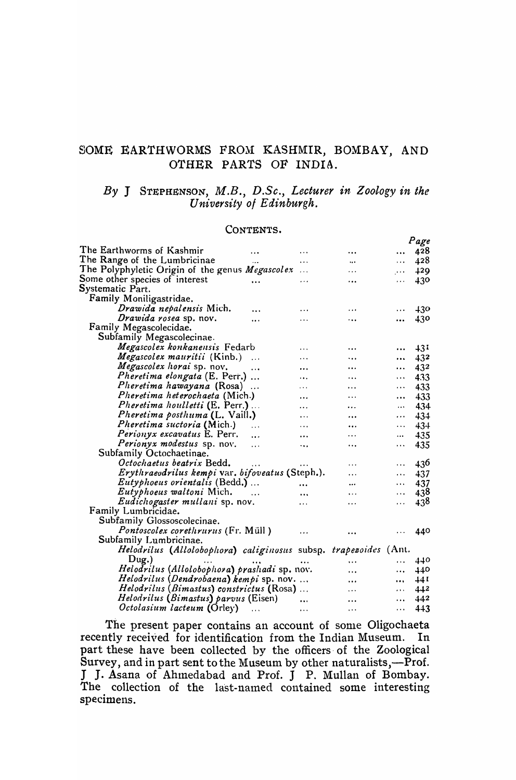# SOME EARTHWORMS FROM KASHMIR, BOMBAY, AND OTHER PARTS OF INDIA.

# By J STEPHENSON, M.B., D.Sc., Lecturer in Zoology in the University of Edinburgh.

 $\overline{a}$ 

#### CONTENTS.

|                                                                 |           |                      |               | Page |
|-----------------------------------------------------------------|-----------|----------------------|---------------|------|
| The Earthworms of Kashmir                                       | $\cdots$  |                      | $\ddotsc$     | 428  |
| The Range of the Lumbricinae                                    | .         | $\ddot{\phantom{a}}$ | $\cdots$      | 428  |
| The Polyphyletic Origin of the genus <i>Megascolex</i>          | $\cdots$  | .                    | $\sim$ $\sim$ | 429  |
| Some other species of interest                                  | .         | .                    | $\cdots$      | 430  |
| Systematic Part.                                                |           |                      |               |      |
| Family Moniligastridae.                                         |           |                      |               |      |
| <i>Drawida nepalensis</i> Mich.                                 | .         | $\cdots$             | $\cdots$      | 430  |
| Drawida rosea sp. nov.<br>                                      |           |                      |               | 430  |
| Family Megascolecidae.                                          |           |                      |               |      |
| Subfamily Megascolecinae.                                       |           |                      |               |      |
| Megascolex konkanensis Fedarb                                   | .         | $\ddotsc$            | $\cdots$      | 431  |
| <i>Megascolex mauritii</i> (Kinb.)<br>$\ddotsc$                 | .         |                      | $\cdots$      | 432  |
| Megascolex horai sp. nov.<br>$\cdots$                           | .         | .                    | $\ddotsc$     | 432  |
| Pheretima elongata (E. Perr.)                                   | .         |                      | $\cdots$      | 433  |
| Pheretima hawayana (Rosa)<br>$\ddotsc$                          | .         | .                    | $\cdots$      | 433  |
| <i>Pheretima heterochaeta</i> (Mich.)                           | .         | $\cdots$             | $\cdots$      | 433  |
| <i>Pheretima houlletti</i> (E. Perr.)                           | .         | .                    | $\cdots$      | 434  |
| <i>Pheretima posthuma</i> (L. Vaill.)                           | .         |                      | $\cdots$      | 434  |
| <i>Pheretima suctoria</i> (Mich.)<br>$\ddotsc$                  | .         | $\ddotsc$            | $\cdots$      | 434  |
| Perionyx excavatus E. Perr.<br>$\ddotsc$                        |           |                      | $\cdots$      | 435  |
| Perionyx modestus sp. nov.<br>$\ddotsc$                         | ٠.,       |                      | $\cdots$      | 435  |
| Subfamily Octochaetinae.                                        |           |                      |               |      |
| Octochaetus beatrix Bedd.                                       |           | $\cdots$             | $\ddotsc$     | 436  |
| Erythraevdrilus kempi var. bifoveatus (Steph.).                 |           | .                    | $\cdots$      | 437  |
| <i>Eutyphoeus orientalis</i> (Bedd.)                            |           |                      | $\cdots$      | 437  |
| <i>Eutyphoeus waltoni</i> Mich.                                 | .         | .                    | $\cdots$      | 438  |
| Eudichogaster mullani sp. nov.                                  | .         | .                    | $\cdots$      | 438  |
| Family Lumbricidae.                                             |           |                      |               |      |
| Subfamily Glossoscolecinae.                                     |           |                      |               |      |
| <i>Pontoscolex corethrurus</i> (Fr. Müll)                       | .         |                      |               | 440  |
| Subfamily Lumbricinae.                                          |           |                      |               |      |
| Helodrilus (Allolobophora) caliginosus subsp. trapezoides (Ant. |           |                      |               |      |
| $_{\text{Dug.}}$                                                |           |                      |               | 440  |
| Helodrilus (Allolobophora) prashadi sp. nov.                    |           |                      | $\cdots$      | 440  |
| Helodrilus (Dendrobaena) kempi sp. nov.                         |           | .                    | $\cdots$      | 44 I |
| Helodrilus (Bimastus) constrictus (Rosa)                        |           | $\cdots$             | $\cdots$      | 442  |
| Helodrilus (Bimastus) parvus (Eisen)                            |           | $\cdots$             | $\cdots$      | 442  |
| Octolasium lacteum (Orley)                                      | $\ddotsc$ |                      | $\ddotsc$     | 443  |
|                                                                 | $\cdots$  | $\cdots$             | $\cdots$      |      |

The present paper contains an account of some Oligochaeta recently received for identification from the Indian Museum. In part these have been collected by the officers of the Zoological Survey, and in part sent to the Museum by other naturalists,—Prof. J J. Asana of Ahmedabad and Prof. J P. Mullan of Bombay. The collection of the last-named contained some interesting specimens.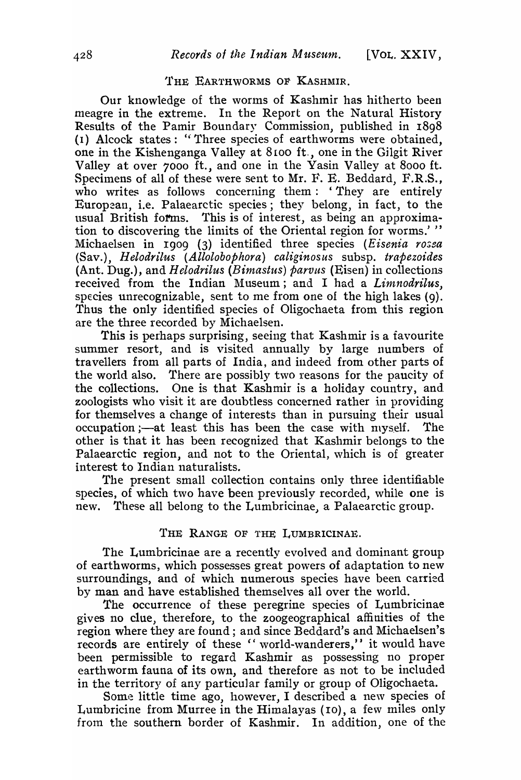#### THE EARTHWORMS OF KASHMIR.

Our knowledge of the worms of Kashmir has hitherto been meagre in the extreme. In the Report on the Natural History Results of the Pamir Boundary Commission, published in 1898 (1) Alcock states: "Three species of earthworms were obtained. one in the Kishenganga Valley at  $8100$  ft., one in the Gilgit River Valley at over 7000 ft., and one in the Yasin Valley at 8000 ft. Specimens of all of these were sent to Mr. F. E. Beddard, F.R.S., who writes as follows concerning them: 'They are entirely European, i.e. Palaearctic species; they belong, in fact, to the usual British forms. This is of interest, as being an approximation to discovering the limits of the Oriental region for worms.'" Michaelsen in 1909 (3) identified three species (Eisenia rosea (Sav.), *Helodrilus (Allolobophora) caliginosus* subsp. *trapezoides*  (Ant. Dug.), and *H elodrilus (Bimasttts) parvus* (Eisen) in collections received from the Indian Museum; and I had a *Limnodrilus*, species unrecognizable, sent to me from one of the high lakes  $(q)$ . Thus the only identified species of Oligochaeta from this region are the three recorded by Michaelsen.

This is perhaps surprising, seeing that Kashmir is a favourite summer resort, and is visited annually by large numbers of tra vellers from all parts of India, and indeed from other parts of the world also. There are possibly two reasons for the paucity of the collections. One is that Kashmir is a holiday country, and. zoologists who visit it are doubtless concerned rather in providing for themselves a change of interests than in pursuing their usual occupation ;—at least this has been the case with myself. The other is that it has been recognized that Kashmir belongs to the Palaearctic region, and not to the Oriental, which is of greater interest to Indian naturalists.

The present small collection contains only three identifiable species, of which two have been previously recorded, while one is new. These all belong to the Lumbricinae, a Palaearctic group.

# THE RANGE OF THE LUMBRICINAE.

The Lumbricinae are a recently evolved and dominant group of earthworms, which possesses great powers of adaptation to new surroundings, and of which numerous species have been carried by man and have established themselves all over the world.

The occurrence of these peregrine species of Lumbricinae gives no clue, therefore, to the zoogeographical affinities of the region where they are found; and since Beddard's and Michaelsen's records are entirely of these " world-wanderers," it would have been permissible to regard Kashmir as possessing no proper earthworm fauna of its own, and therefore as not to be included in the territory of any particular family or group of Oligochaeta.

Some little time ago, however, I described a new species of Lumbricine from Murree in the Himalayas (10), a few miles only from the southern border of Kashmir. In addition, one of the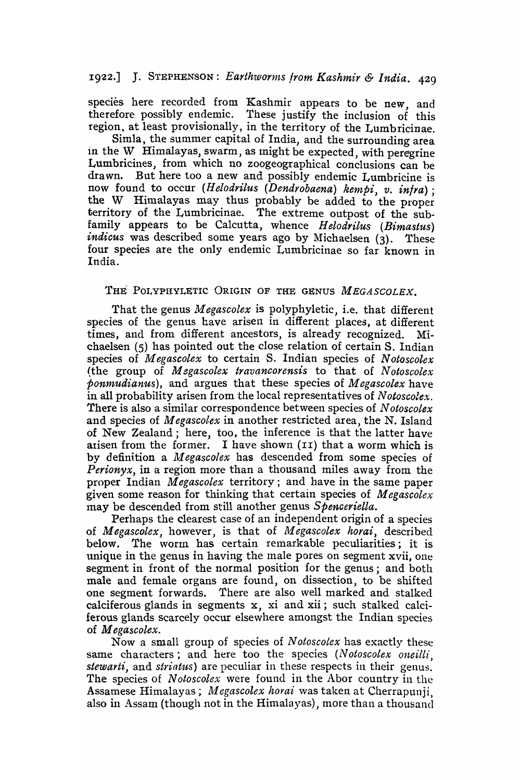# 1922.] J. STEPHENSON: *Earthworms from Kashmir & India.* 429

species here recorded from Kashmir appears to be new, and therefore possibly endemic. These justify the inclusion of this region, at least provisionally, in the territory of the Lumbricinae.

Simla, the summer capital of India, and the surrounding area in the W Himalayas, swarm, as might be expected, with peregrine Lumbricines, from which no zoogeographical conclusions can be drawn. But here too a new and possibly endemic Lumbricine is now found to occur *(Helodrilus (Dendrobaena) kempi, v. in/ra);*  the W Himalayas may thus probably be added to the proper territory of the Lumbricinae. The extreme outpost of the subfamily appears to be Calcutta, whence *Helodrilus (Bimastus) indicus* was described some years ago by Michaelsen (3). These four species are the only endemic Lumbricinae so far known in India.

# THE POLYPHYLETIC ORIGIN OF THE GENUS *MEGASCOLEX*.

That the genus *Megascolex* is polyphyletic, i.e. that different species of the genus have arisen in different places, at different times, and from different ancestors, is already recognized. Michaelsen (5) has pointed out the close relation of certain S. Indian species of *Megascolex* to certain S. Indian species of *Notoscolex* (the group of M *egascolex travancorensis* to that of N *otoscolex*  ponn~udianus), and argues that these species of *Megascolex* have in all probability arisen from the local representatives of *N otoscolex.*  There is also a similar correspondence between species of N *otoscolex*  and species of *Megascolex* in another restricted area, the N. Island of New Zealand; here, too, the inference is that the latter have arisen from the former. I have shown  $(II)$  that a worm which is by definition a *Megascolex* has descended from some species of *Perionyx,* in a region more than a thousand miles away from the proper Indian *M egascolex* territory; and have in the same paper given some reason for thinking that certain species of *Megascolex* may be descended from still another genus *Spenceriella.* 

Perhaps the clearest case of an independent origin of a species of *M egascolex,* however, is that of *AI egascolex horai,* described below. The worm has certain remarkable peculiarities; it is unique in the genus in having the male pores on segment xvii, one segment in front of the normal position for the genus; and both male and female organs are found, on dissection, to be shifted one segment forwards. There are also well marked and stalked calciferous glands in segments x, xi and xii; such stalked calciferous glands scarcely occur elsewhere amongst the Indian species of M *egascolex.* 

Now a small group of species of *N otoscotex* has exactly these same characters; and here too the species *(Notoscolex oneilli*, *stewarti,* and *striatus)* are peculiar in these respects in their genus. The species of *Notoscolex* were found in the Abor country in the Assamese Himalayas; *Megascolex horai* was taken at Cherrapunji, also in Assam (though not in the Himalayas), more than a thousand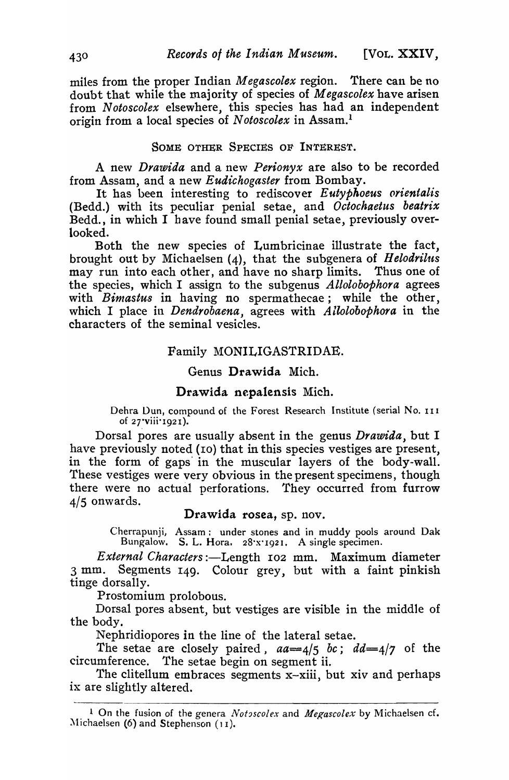miles from the proper Indian *Megascolex* region. There can be no doubt that while the majority of species of *Megaseolex* have arisen from *Notoseolex* elsewhere, this species has had an independent origin from a local species of N *otoscolex* in Assam.l

# SOME OTHER SPECIES OF INTEREST.

A new *Drawida* and a new *Perionyx* are also to be recorded from Assam, and a new *Eudichogaster* from Bombay.

It has been interesting to rediscover *E utyphoeus oyientalis*  (Bedd.) with its peculiar penial setae, and *Octochaetus beatrix*  Bedd., in which I have found small penial setae, previously overlooked.

Both the new species of Lumbricinae illustrate the fact, brought out by Michaelsen (4), that the subgenera of *Helodrilus* may run into each other, and have no sharp limits. Thus one of the species, which I assign to the subgenus *Allolobophora* agrees with *Binzastus* in having no spermathecae; while the other, which I place in *Dendrobaena,* agrees with *Allolobophora* in the characters of the seminal vesicles.

#### Family MONILIGASTRIDAE.

### Genus Drawida Mich.

## Drawida nepalensis Mich.

Dehra Dun, compound of the Forest Research Institute (serial No. 111 of 27"viii·192I).

Dorsal pores are usually absent in the genus *Drawida,* but I have previously noted (10) that in this species vestiges are present, in the form of gaps' in the muscular layers of the body-wall. These vestiges were very obvious in the present specimens, though there were no actual perforations. They occurred from furrow  $4/5$  onwards.

# Drawida rosea, sp. nov.

Cherrapunji, Assam: under stones and in muddy pools around Dak Bungalow. S. L. Hora. 2S'X' 1921. A single specimen.

*External Characters* :-Length I02 mm. Maximum diameter 3 mm. Segments 149. Colour grey, but with a faint pinkish tinge dorsally.

Prostomium prolobous.

Dorsal pores absent, but vestiges are visible in the middle of the body.

Nephridiopores in the line of the lateral setae.

The setae are closely paired, *aa=4/5 be; dd=4/7* of the circumference. The setae begin on segment ii.

The clitellum embraces segments  $x$ -xiii, but xiv and perhaps ix are slightly altered.

<sup>&</sup>lt;sup>1</sup> On the fusion of the genera *Notoscolex* and *Megascolex* by Michaelsen cf. Michaelsen  $(6)$  and Stephenson  $(11)$ .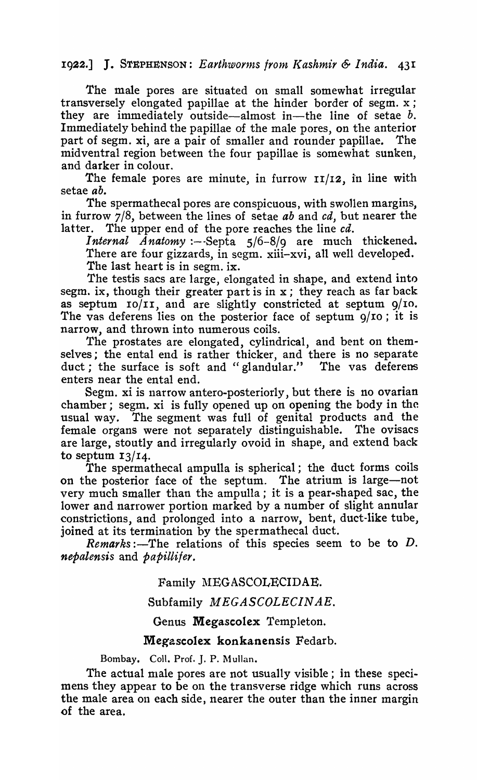# 1922.] J. STEPHENSON: *Earthworms from Kashmir & India.* 431

The male pores are situated on small somewhat irregular transversely elongated papillae at the hinder border of segm. x ; they are immediately outside-almost in-the line of setae *b.*  Immediately behind the papillae of the male pores, on the anterior part of segm. xi, are a pair of smaller and rounder papillae. The midventral region between the four papillae is somewhat sunken, and darker in colour.

The female pores are minute, in furrow  $\mathbf{11}/\mathbf{12}$ , in line with setae *ab.* 

The spermathecal pores are conspicuous, with swollen margins, in furrow 7/8, between the lines of setae *ab* and *cd,* but nearer the latter. The upper end of the pore reaches the line *cd.* 

*Internal Anatomy* :--Septa 5/6-8/9 are much thickened. There are four gizzards, in segm. xiii-xvi, all well developed. The last heart is in segm. ix.

The testis sacs are large, elongated in shape, and extend into segm. ix, though their greater part is in x; they reach as far back as septum  $\text{IO/II}$ , and are slightly constricted at septum  $\frac{9}{10}$ . The vas deferens lies on the posterior face of septum  $9/10$ ; it is narrow, and thrown into numerous coils.

The prostates are elongated, cylindrical, and bent on themselves; the ental end is rather thicker, and there is no separate duct; the surface is soft and "glandular." The vas deferens enters near the ental end.

Segm. xi is narrow antero-posteriorly, but there is no ovarian chamber; segm. xi is fully opened up on opening the body in the usual way. The segment was full of genital products and the female organs were not separately distinguishable. The ovisacs are large, stoutly and irregularly ovoid in shape, and extend back to septum  $13/14$ .

The spermathecal ampulla is spherical; the duct forms coils on the posterior face of the septum. The atrium is large-not very much smaller than the ampulla; it is a pear-shaped sac, the lower and narrower portion marked by a number of slight annular constrictions, and prolonged into a narrow, bent, duct-like tube, joined at its termination by the spermathecal duct.

*:-The relations of this species seem to be to*  $D$ *. nepalensis* and *papillifer.* 

# Family MEGASCOLECIDAE.

# Subfamily *M EGASCOLECIN AE.*

# Genus Megascolex Templeton.

# Megascolex konkanensis Fedarb.

Bombay. Coll. Prof. J. P. Mullan.

The actual male pores are not usually visible; in these specimens they appear to be on the transverse ridge which runs across the male area on each side, nearer the outer than the inner margin of the area.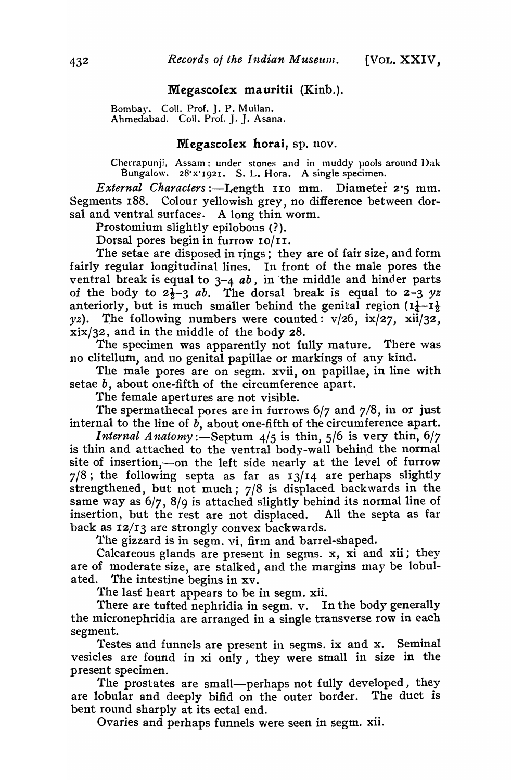## Megascolex mauritii (Kinb.).

Bombay. Coll. Prof. J. P. Mullan. Ahmedabad. Coll. Prof. J. J. Asana.

### Megascolex horai, sp. nov.

Cherrapunji, Assam; under stones and in muddy pools around I)ak Bungalow. 2S·X·I92I. S. L. Hora. A single specimen.

*External Characters* :-I-Iength 110 mm. Diameter 2·5 mm. Segments 188. Colour yellowish grey, no difference between dorsal and ventral surfaces. A long thin worm.

Prostomium slightly epilobous  $(?)$ .

Dorsal pores begin in furrow 10/11.

The setae are disposed in rings; they are of fair size, and form fairly regular longitudinal lines. In front of the male pores the ventral break is equal to 3-4 *ab,* in 'the middle and hinder parts of the body to  $2\frac{1}{2}$ -3 *ab*. The dorsal break is equal to 2-3 *yz* anteriorly, but is much smaller behind the genital region  $(1\frac{1}{4}-1\frac{1}{2})$ yz). The following numbers were counted:  $v/26$ ,  $ix/27$ ,  $xi/32$ , xix/32, and in the middle of the body 28.

The specimen was apparently not fully mature. There was no clitellum, and no genital papillae or markings of any kind.

The male pores are on segm. xvii, on papillae, in line with setae *b,* about one-fifth of the circumference apart.

The female apertures are not visible.

The spermathecal pores are in furrows  $6/7$  and  $7/8$ , in or just internal to the line of *b,* about one-fifth of the circumference apart.

*Internal Anatomy* :- Septum  $4/5$  is thin,  $5/6$  is very thin,  $6/7$ is thin and attached to the ventral body-wall behind the normal site of insertion,-on the left side nearly at the level of furrow  $7/8$ ; the following septa as far as  $13/14$  are perhaps slightly strengthened, but not much; 7/8 is displaced backwards in the same way as 6/7, 8/9 is attached slightly behind its normal line of insertion, but the rest are not displaced. All the septa as far back as 12/13 are strongly convex backwards.

The gizzard is in segm. vi, firm and barrel-shaped.

Calcareous glands are present in segms. x, xi and xii; they are of moderate size, are stalked, and the margins may be lobulated. The intestine begins in xv.

The last heart appears to be in segm. xii.

There are tufted nephridia in segm. v. In the body generally the micronephridia are arranged in a single transverse row in each segment.

Testes and funnels are present in segms. ix and x. Seminal vesicles are found in xi only, they were small in size in the present specimen.

The prostates are small-perhaps not fully developed, they are lobular and deeply bifid on the outer border. The duct is bent round sharply at its ectal end.

Ovaries and perhaps funnels were seen in segm. xii.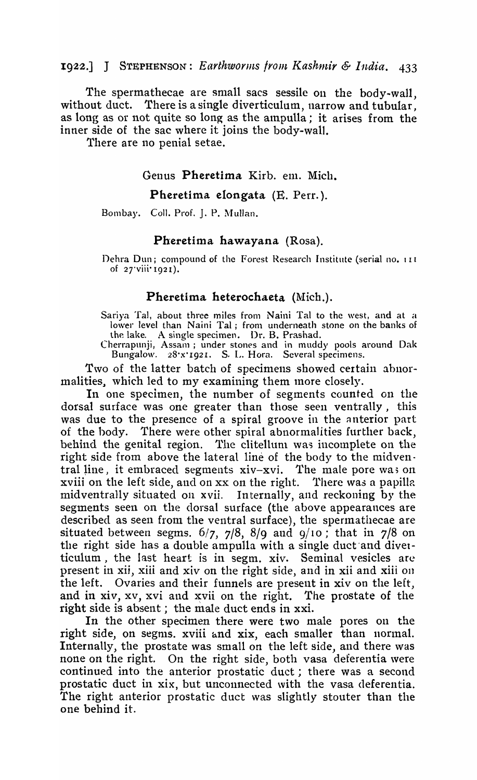# 1922.] J STEPHENSON: Earthworms from Kashmir & India. 433

The spermathecae are small sacs sessile on the body-wall. without duct. There is a single diverticulum, narrow and tubular, as long as or not quite so long as the ampulla; it arises from the inner side of the sac where it joins the body-wall.

There are no penial setae.

## Genus Pheretima Kirb. em. Mich.

### Pheretima elongata (E. Perr.).

Bombay. Coll. Prof. J. P. Mullan.

#### Pheretima hawayana (Rosa).

Dehra Dun; compound of the Forest Research Institute (serial no. 111 of 27'viii'1921).

#### Pheretima heterochaeta (Mich.).

Sariya Tal, about three miles from Naini Tal to the west, and at a lower level than Naini Tal; from underneath stone on the banks of

the lake. A single specimen. Dr. B. Prashad.<br>Cherrapunji, Assam; under stones and in muddy pools around Dak<br>Bungalow. 28'x'1921. S. L. Hora. Several specimens.

Two of the latter batch of specimens showed certain abnormalities, which led to my examining them more closely.

In one specimen, the number of segments counted on the dorsal surface was one greater than those seen ventrally, this was due to the presence of a spiral groove in the anterior part of the body. There were other spiral abnormalities further back, behind the genital region. The clitellum was incomplete on the right side from above the lateral line of the body to the midventral line, it embraced segments xiv-xvi. The male pore was on xviii on the left side, and on xx on the right. There was a papilla midventrally situated on xvii. Internally, and reckoning by the segments seen on the dorsal surface (the above appearances are described as seen from the ventral surface), the spermathecae are situated between segms.  $6/7$ ,  $7/8$ ,  $8/9$  and  $9/10$ ; that in  $7/8$  on the right side has a double ampulla with a single duct and diverticulum, the last heart is in segm. xiv. Seminal vesicles are present in xii, xiii and xiv on the right side, and in xii and xiii on the left. Ovaries and their funnels are present in xiv on the left, and in xiv, xv, xvi and xvii on the right. The prostate of the right side is absent; the male duct ends in xxi.

In the other specimen there were two male pores on the right side, on segms. xviii and xix, each smaller than normal. Internally, the prostate was small on the left side, and there was none on the right. On the right side, both vasa deferentia were continued into the anterior prostatic duct; there was a second prostatic duct in xix, but unconnected with the vasa deferentia. The right anterior prostatic duct was slightly stouter than the one behind it.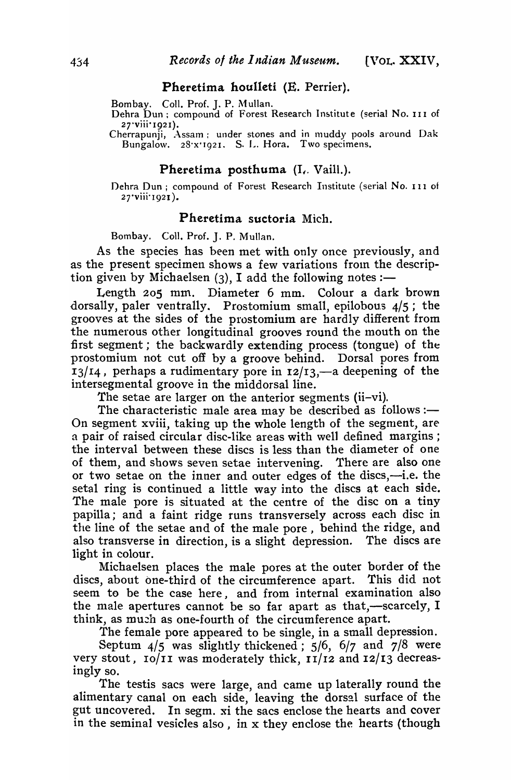## Pheretima houlleti (E. Perrier).

Bombay. Coll. Prof. J. P. Mullan.

Dehra Dun; compound of Forest Research Institute (serial No. III of  $27$ ·viii·1921).

Cherrapunji, Assam; under stones and in muddy pools around Dak Bungalow. 28'x'1921. S. L. Hora. Two specimens.

## Pheretima posthuma  $(I,$  Vaill.).

Dehra Dun j compound of Forest Research Institute (serial No. I I 1 of 27·viii'I92I).

## Pheretima suctoria Mich.

Bombay. Coll. Prof. J. P. Mullan.

As the species has been met with only once previously, and as the present specimen shows a few variations from the description given by Michaelsen  $(3)$ , I add the following notes :-

Length 205 mm. Diameter 6 mm. Colour a dark brown dorsally, paler ventrally. Prostomium small, epilobous  $4/5$ ; the grooves at the sides of the prostomium are hardly different from the numerous other longitudinal grooves round the mouth on the first segment; the backwardly extending process (tongue) of the prostomium not cut off by a groove behind. Dorsal pores from  $13/14$ , perhaps a rudimentary pore in  $12/13$ ,—a deepening of the intersegmental groove in the middorsal line.

The setae are larger on the anterior segments (ii-vi).

The characteristic male area may be described as follows: $-$ On segment xviii, taking up the whole length of the segment, are a pair of raised circular disc-like areas with well defined margins; the interval between these discs is less than the diameter of one of them, and shows seven setae intervening. There are also one or two setae on the inner and outer edges of the discs,-i.e. the setal ring is continued a little way into the discs at each side. The male pore is situated at the centre of the disc on a tiny papilla; and a faint ridge runs transversely across each disc in the line of the setae and of the male pore, behind the ridge, and also transverse in direction, is a slight depression. The discs are light in colour.

Michaelsen places the male pores at the outer border of the discs, about one-third of the circumference apart. This did not seem to be the case here, and from internal examination also the male apertures cannot be so far apart as that,—scarcely,  $I$ think, as much as one-fourth of the circumference apart.

The female pore appeared to be single, in a small depression.

Septum  $4/5$  was slightly thickened;  $5/6$ ,  $6/7$  and  $7/8$  were very stout,  $10/11$  was moderately thick,  $11/12$  and  $12/13$  decreasingly so.

The testis sacs were large, and came up laterally round the alimentary canal on each side, leaving the dorsal surface of the gut uncovered. In segm. xi the sacs enclose the hearts and cover in the seminal vesicles also, in x they enclose the hearts (though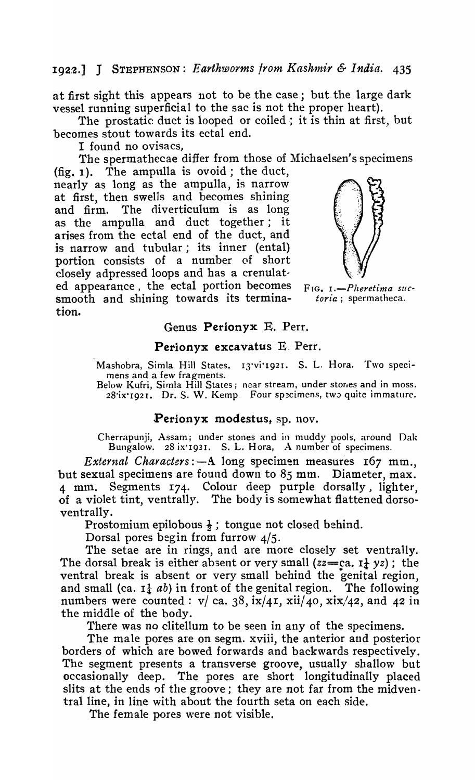at first sight this appears not to be the case; but. the large dark vessel running superficial to the sac is not the proper heart).

The prostatic duct is looped or coiled; it is thin at first, but becomes stout towards its ectal end.

I found no ovisacs.

The spermathecae differ from those of Michaelsen's specimens

 $(f_1, 1)$ . The ampulla is ovoid; the duct, nearly as long as the ampulla, is narrow at first, then swells and becomes shining and firm. The diverticulum is as long as the ampulla and duct together; it arises from the ectal end of the duct, and is narrow and tubular; its inner (ental) portion consists of a number of short closely adpressed loops and has a crenulated appearance, the ectal portion becomes  $F_{IG, I}$ . -Pheretima sucsmooth and shining towards its termina- *toria* ; spermatheca. tion.



#### Genus Perionyx E. Perr.

#### Perionyx excavatus  $E$ . Perr.

Mashobra, Simla Hill States. 13·vi·192I. S. L. Hora. Two specimens and a few fragments.

Below Kufri, Simla Hill States; near stream, under stones and in moss. 28'ix'1921. Dr. S. W. Kemp. Four specimens, two quite immature.

## Perionyx modestus, sp. nov.

Cherrapunji, Assam; under stones and in muddy pools, around Oak Bungalow. 28 ix 1921. S. L. Hora, A number of specimens.

*External Characters*:  $-A$  long specimen measures 167 mm. but sexual specimens are found down to 85 mm. Diameter, max. 4 mm. Segments 174. Colour deep purple dorsally, lighter, of a violet tint, ventrally. The body is somewhat flattened dorsoventrally.

Prostomium epilobous  $\frac{1}{2}$ ; tongue not closed behind.

Dorsal pores begin from furrow 4/5.

The setae are in rings, and are more closely set ventrally. The dorsal break is either absent or very small  $(zz=ca, 1\frac{1}{4}yz)$ ; the ventral break is absent or very small behind the genital region, and small (ca.  $I_4$  *ab*) in front of the genital region. The following numbers were counted:  $v / ca. 38$ ,  $\frac{ix}{41}$ ,  $\frac{x^2}{40}$ ,  $\frac{x^2}{42}$ , and 42 in the middle of the body.

There was no clitellum to be seen in any of the specimens.

The male pores are on segm. xviii, the anterior and posterior borders of which are bowed forwards and backwards respectively. The segment presents a transverse groove, usually shallow but occasionally deep. The pores are short longitudinally placed slits at the ends of the groove; they are not far from the midventral line, in line with about the fourth seta on each side.

The female pores were not visible.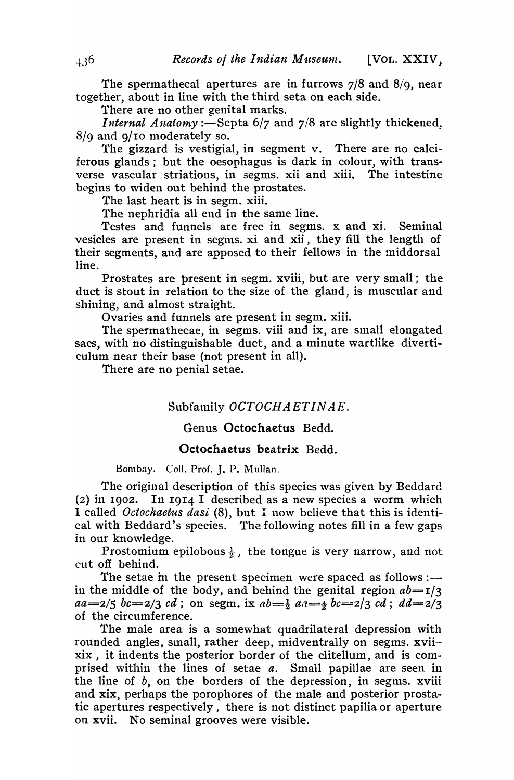The spermathecal apertures are in furrows  $7/8$  and  $8/9$ , near together, about in line with the third seta on each side.

There are no other genital marks.

*Internal Anatomy* :—Septa  $6/7$  and  $7/8$  are slightly thickened. 8/9 and 9/10 moderately so.

The gizzard is vestigial, in segment v. There are no calciferous glands; but the oesophagus is dark in colour, with transverse vascular striations, in segms. xii and xiii. The intestine begins to widen out behind the prostates.

The last heart is in segm. xiii.

The nephridia all end in the same line.

Testes and funnels are free in segms. x and xi. Seminal vesicles are present in segms. xi and xii, they fill the length of their segments, and are apposed to their fellows in the middorsal line.

Prostates are present in segm. xviii, but are very small; the duct is stout in relation to the size of the gland, is muscular and shining, and almost straight.

Ovaries and funnels are present in segm. xiii.

The spermathecae, in segms. viii and ix, are small elongated sacs, with no distinguishable duct, and a minute wartlike diverticulum near their base (not present in all).

There are no penial setae.

# Subfamily *OCTOCHAETIN* AE.

# Genus Octochaetus Bedd.

## Octochaetus beatrix Bedd.

Bombay. Coll. Prof. J. P. Mullan.

The original description of this species was given by Beddard (2j in 1902. In 1914 I described as a new species a worm which I called *Octochaetus dasi* (8), but I now believe that this is identical with Beddard's species. The following notes fill in a few gaps in our knowledge.

Prostomium epilobous  $\frac{1}{2}$ , the tongue is very narrow, and not cut off behind.

The setae in the present specimen were spaced as follows :in the middle of the body, and behind the genital region  $ab = I/3$  $aa=2/5$   $bc=2/3$   $cd$ ; on segm. ix  $ab=\frac{1}{2}$   $aa=\frac{1}{2}$   $bc=2/3$   $cd$ ;  $dd=2/3$ of the circumference.

The male area is a somewhat quadrilateral depression with rounded angles, small, rather deep, midventrally on segms. xviixix, it indents the posterior border of the clitellum, and is comprised within the lines of setae *a.* Small papillae are seen in the line of *b,* on the borders of the depression, in segms. xviii and xix, perhaps the porophores of the male and posterior prostatic apertures respectively, there is not distinct papilia or aperture 011 xvii. No seminal grooves were visible.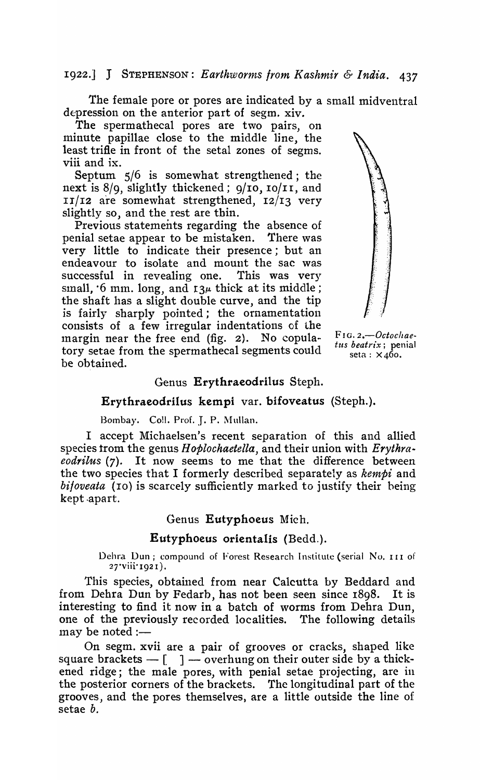# Ig22.] J STEPHENSON: *Earthworms Irom Kashmir & India. 437*

The female pore or pores are indicated by a small midventral depression on the anterior part of segm. xiv.

The spermathecal pores are two pairs, on minute papillae close to the middle line, the least trifle in front of the setal zones of segms. viii and ix.

Septum 5/6 is somewhat strengthened; the next is  $8/9$ , slightly thickened;  $9/10$ ,  $10/11$ , and  $II/I2$  are somewhat strengthened,  $I2/I3$  very slightly so, and the rest are thin.

Previous statements regarding the absence of penial setae appear to be mistaken. There was very little to indicate their presence; but an endeavour to isolate and mount the sac was successful in revealing one. This was very small,  $\cdot$  6 mm. long, and  $I_3\mu$  thick at its middle; the shaft has a slight double curve, and the tip is fairly sharply pointed; the ornamentation consists of a few irregular indentations of the margin near the free end (fig. 2). No copula- FIG.2.-Octochae-<br>term ateo from the apermatheool comments could the beatrix; penial tory setae from the spermathecal segments could  $\frac{u}{\text{set}} \frac{\text{bea}}{\text{set}} \times 460$ . be obtained.



## Genus Erythraeodrilus Steph.

#### Erythraeodrilus kempi var. bifoveatus (Steph.).

Bombay. Coll. Prof. J. P. Mullan.

I accept Michaelsen's recent separation of this and allied species trom the genus *Hoplochaetella*, and their union with *Erythra-eodrilus* (7). It now seems to me that the difference between the two species that I formerly described separately as *kempi* and *bifoveata* (10) is scarcely sufficiently marked to justify their being kept .apart.

#### Genus Eutyphoeus Mich,

### Eutyphoeus orientalis (Bedd.).

Dehra Dun; compound of Forest Research Institute (serial No. 111 of 27·viii'I92I).

This species, obtained from near Calcutta by Beddard and from Dehra Dun by Fedarb, has not been seen since 18g8. It is interesting to find it now in a batch of worms from Dehra Dun, one of the previously recorded localities. The following details  $may be noted:$ 

On segm. xvii are a pair of grooves or cracks, shaped like square brackets  $-$  [  $\;$  ]  $-$  overhung on their outer side by a thickened ridge; the male pores, with penial setae projecting, are in the posterior corners of the brackets. The longitudinal part of the grooves, and the pores themselves, are a little outside the line of setae *b.*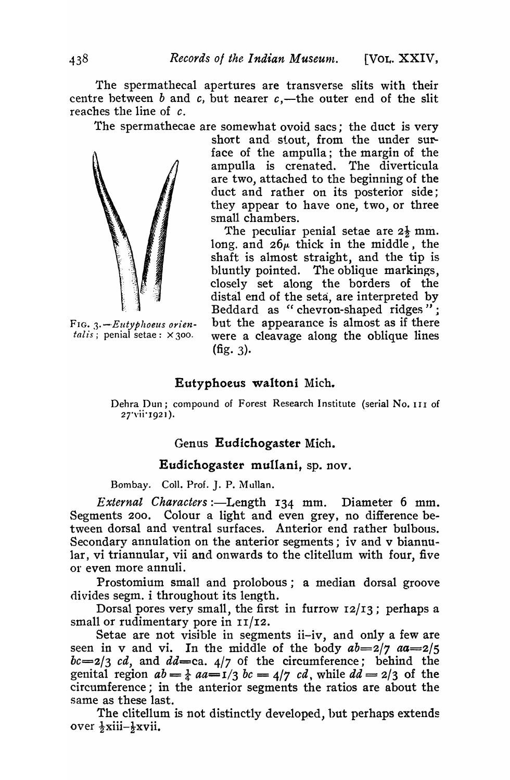The spermathecal apertures are transverse slits with their centre between *b* and *c*, but nearer  $c$ ,—the outer end of the slit reaches the line of *c.* 

The spermathecae are somewhat ovoid sacs; the duct is very



short and stout, from the under surface of the ampulla; the margin of the ampulla is crenated. The diverticula are two, attached to the beginning of the duct and rather on its posterior side; they appear to have one, two, or three small chambers.

The peculiar penial setae are  $2\frac{1}{2}$  mm. long. and  $26\mu$  thick in the middle, the shaft is almost straight, and the tip is bluntly pointed. The oblique markings, closely set along the borders of the distal end of the seta, are interpreted by Beddard as "chevron-shaped ridges"; FIG. 3. -*Eutyphoeus orien*-<br>talis; penial setae: ×300. were a cleavage along the oblique lines were a cleavage along the oblique lines  $(ffg. 3)$ .

# Eutyphoeus waltoni Mich.

Dehra Dun; compound of Forest Research Institute (serial No. III of 27'vii'1921).

# Genus Eudichogaster Mich.

# Eudichogaster mullani, sp. nov.

Bombay. Coll. Prof. J. P. Mullan.

*External Characters* :- Length 134 mm. Diameter 6 mm. Segments 200. Colour a light and even grey, no difference between dorsal and ventral surfaces. Anterior end rather bulbous. Secondary annulation on the anterior segments; iv and v biannular, vi triannular, vii and onwards to the clitellum with four, five or even more annuli.

Prostomium small and prolobous; a median dorsal groove divides segm. i throughout its length.

Dorsal pores very small, the first in furrow 12/I3; perhaps a small or rudimentary pore in  $II/I2$ .

Setae are not visible in segments ii-iv, and only a few are seen in v and vi. In the middle of the body  $ab=2/7$   $aa=2/5$  $bc = 2/3$  *cd*, and  $dd = ca$ .  $4/7$  of the circumference; behind the genital region  $ab = \frac{1}{4}$   $aa = 1/3$   $bc = 4/7$   $cd$ , while  $dd = 2/3$  of the circumference; in the anterior segments the ratios are about the same as these last.

The clitellum is not distinctly developed, hut perhaps extends over  $\frac{1}{2}$ xiii- $\frac{1}{2}$ xvii.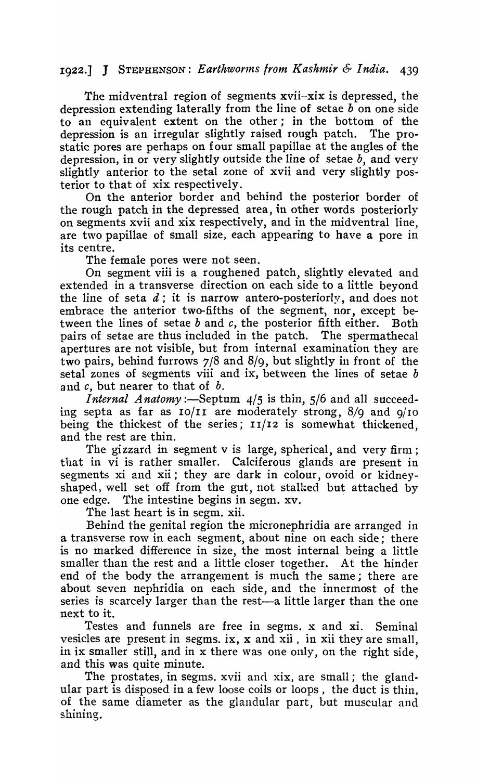# 1922.] J STEPHENSON: *Earthwor1nS Irom Kashmir* & *India. 439*

The midventral region of segments xvii-xix is depressed, the depression extending laterally from the line of setae  $b$  on one side to an equivalent extent on the other; in the bottom of the depression is an irregular slightly raised rough patch. The prostatic pores are perhaps on four small papillae at the angles of the depression, in or very slightly outside the line of setae *b,* and very slightly anterior to the setal zone of xvii and very slightly posterior to that of xix respectively.

On the anterior border and behind the posterior border of the rough patch in the depressed area, in other words posteriorly on segments xvii and xix respectively, and in the midventral line, are two papillae of small size, each appearing to have a pore in its centre.

The female pores were not seen.

On segment viii is a roughened patch, slightly elevated and extended in a transverse direction on each side to a little beyond the line of seta  $d$ ; it is narrow antero-posteriorly, and does not embrace the anterior two-fifths of the segment, nor, except between the lines of setae  $b$  and  $c$ , the posterior fifth either. Both pairs of setae are thus included in the patch. The spermathecal apertures are not visible, but from internal examination they are two pairs, behind furrows 7/8 and 8/9, but slightly in front of the setal zones of segments viii and ix, between the lines of setae *b*  and *c,* but nearer to that of *b.* 

*Internal Anatomy*: --Septum  $4/5$  is thin,  $5/6$  and all succeeding septa as far as  $10/11$  are moderately strong,  $8/9$  and  $9/10$ being the thickest of the series;  $11/12$  is somewhat thickened. and the rest are thin.

The gizzard in segment v is large, spherical, and very firm; that in vi is rather smaller. Calciferous glands are present in segments xi and xii; they are dark in colour, ovoid or kidneyshaped, well set off from the gut, not stalked but attached by one edge. The intestine begins in segm. xv. .

The last heart is in segm. xii.

Behind the genital region the micronephridia are arranged in a transverse row in each segment, about nine on each side; there is no marked difference in size, the most internal being a little smaller than the rest and a little closer together. At the hinder end of the body the arrangement is much the same; there are about seven nephridia on each side, and the innermost of the series is scarcely larger than the rest—a little larger than the one next to it.

Testes and funnels are free in segms. x and xi. Seminal vesicles are present in segms. ix, x and xii, in xii they are small, in ix smaller still, and in x there was one only, on the right side, and this was quite minute.

The prostates, in segms. xvii and xix, are small; the glandular part is disposed in a few loose coils or loops, the duct is thin, of the same diameter as the glandular part, but muscular and shining.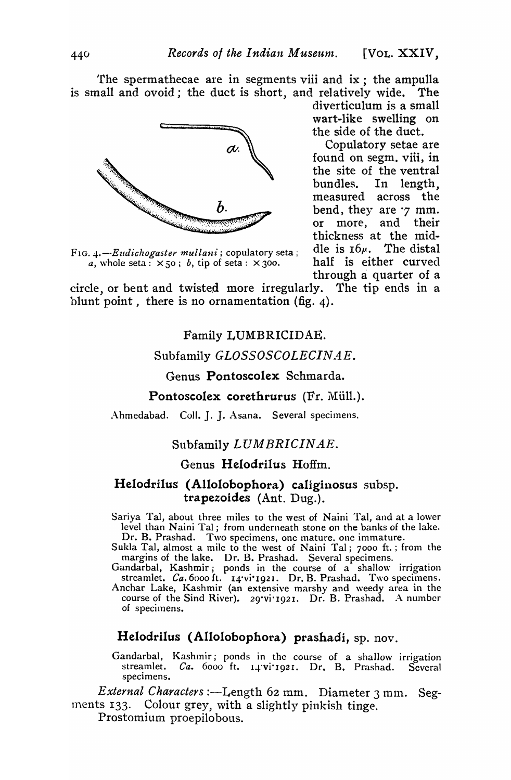'fhe spermathecae are in segments viii and ix; the ampulla is small and ovoid; the duct is short, and relatively wide. The



F<sub>1G. 4</sub>.--*Eudichogaster mullani*; copulatory seta; die is  $10\mu$ . The distal a, whole seta:  $\times$  50; b, tip of seta:  $\times$  300. half is either curved *a*, whole seta:  $\times$  50; *b*, tip of seta:  $\times$  300.

diverticulum is a small \vart-like swelling on the side of the duct.

Copulatory setae are found on segm. viii, in the site of the ventral bundles. In length, measured across the bend, they are  $\gamma$  mm. or more, and their thickness at the mid-<br>dle is  $16\mu$ . The distal through a quarter of <sup>a</sup>

circle, or bent and twisted more irregularly. The tip ends in a blunt point, there is no ornamentation (fig. 4).

# Family LUMBRICIDAE.

# Subfamily *GLOSSOSCOLECINAE*.

# Genus Pontoscolex Schmarda.

### Pontoscolex corethrurus (Fr. Müll.).

Ahmedabad. Coll. J. J. Asana. Several specimens.

# Subfamily *LUMBRICINAE.*

# Genus Helodrilus Hoffm.

# Helodrilus (Allolobophora) caliginosus subsp. trapezoides (Ant. Dug.).

Sariya Tal, about three miles to the west of Naini Tal, and at a lower level than Naini Tal; from underneath stone on the banks of the lake. Dr. B. Prashad. Two specimens, one mature. one immature.

Sukla Tal, almost a mile to the west of Naini Tal; 7000 ft.; from the margins of the lake. Dr. B. Prashad. Several specimens.

Gandarbal, Kashmir; ponds in the course of a shallow irrigation streamlet. *Ca*. 6000 ft. 14 vi<sup>.</sup> 1921. Dr. B. Prashad. Two specimens. Anchar Lake, Kashmir (an extensive marshy and weedy area in the course of the Sind River). 29'vi'1921. Dr. B. Prashad. A number of specimens.

### Helodrilus (Allolobophora) prashadi, sp. nov.

Gandarbal, Kashmir; ponds in the course of a shallow irrigation streamlet. *Ca.* 6000 ft. 14'vi'1921. Dr. B. Prashad. Several specimens.

*External Characters* :—Length 62 mm. Diameter 3 mm. Segments 133. Colour grey, with a slightly pinkish tinge.

Prostomium proepilobous.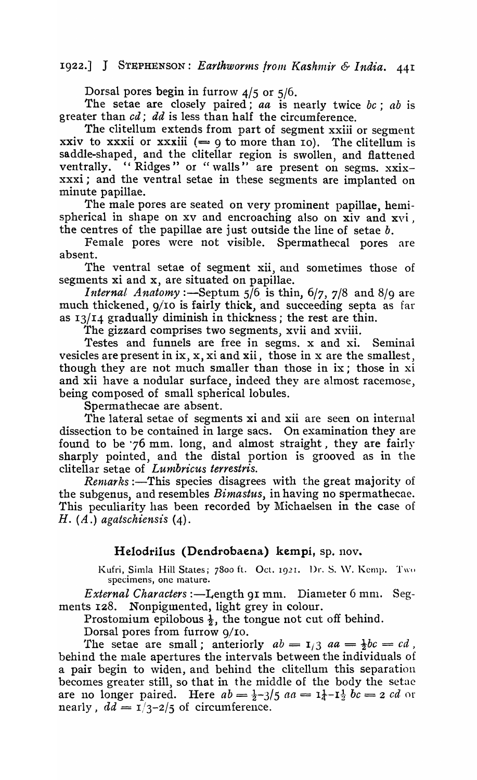# 1922.] J STEPHENSON: *Earthworms from Kashmir & India.* 441

Dorsal pores begin in furrow 4/5 or 5/6.

The setae are closely paired; *aa* is nearly twice *be; ab* is greater than cd; *dd* is less than half the circumference.

The clitellum extends from part of segment xxiii or segment xxiv to xxxii or xxxiii  $(= 9$  to more than 10). The clitellum is saddle-shaped, and the clitellar region is swollen, and flattened ventrally. "Ridges" or "walls" are present on segms. xxixxxxi; and the ventral setae in these segments are implanted on minute papillae.

The male pores are seated on very prominent papillae, hemispherical in shape on  $xy$  and encroaching also on  $xiv$  and  $xvi$ , the centres of the papillae are just outside the line of setae *b.* 

Female pores were not visible. Spermathecal pores are absent.

The ventral setae of segment xii, and sometimes those of segments xi and x, are situated on papillae.

*Internal Anatomy* :—Septum  $5/6$  is thin,  $6/7$ ,  $7/8$  and  $8/9$  are much thickened, 9/10 is fairly thick, and succeeding septa as far as 13/14 gradually diminish in thickness; the rest are thin.

The gizzard comprises two segments, xvii and xviii.

Testes and funnels are free in segms. x and xi. Seminal vesicles are present in  $ix, x, x$  and  $x$ ii, those in x are the smallest, though they are not much smaller than those in ix; those in xi and xii have a nodular surface, indeed they are almost racemose, being composed of small spherical lobules.

Spermathecae are absent.

The lateral setae of segments xi and xii are seen on internal dissection to be contained in large sacs. On examination they are found to be '76 mm. long, and almost straight, they are fairly sharply pointed, and the distal portion is grooved as in the clitellar setae of *Lumbricus terrestris.* 

*Rentarks* :—This species disagrees with the great majority of the subgenus, and resembles *Bimastus,* in having no spermathecae. This peculiarity has been recorded by Michaelsen in the case of H. (A.) *agatsehiensis* (4).

# Helodrilus (Dendrobaena) kempi, sp. nov.

Kufri, Simla Hill States; 7800 ft. Oct. 1921. Dr. S. W. Kemp. Two specimens, one mature.

*External Characters* :—Length 91 mm. Diameter 6 mm. Segments I28. Nonpigmented, light grey in colour.

Prostomium epilobous  $\frac{1}{2}$ , the tongue not cut off behind.

Dorsal pores from furrow 9/ro.

The setae are small; anteriorly  $ab = I/3$   $aa = \frac{1}{2}bc = cd$ , behind the male apertures the intervals between the individuals of a pair begin to widen, and behind the clitellum this separation becomes greater still, so that in the middle of the body the setae are no longer paired. Here  $ab = \frac{1}{2} - 3/5$   $aa = \frac{1}{4} - \frac{1}{2}$   $bc = 2$   $cd$  or nearly,  $dd = 1/3-2/5$  of circumference.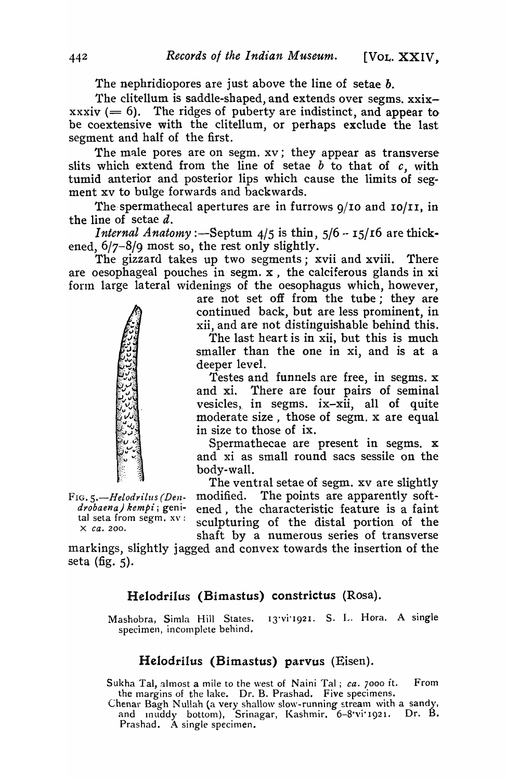The nephridiopores are just above the line of setae *b.* 

The clitellum is saddle-shaped, and extends over segms. xxixxxxiv  $(= 6)$ . The ridges of puberty are indistinct, and appear to be coextensive with the clitellum, or perhaps exclude the last segment and half of the first.

The male pores are on segm. xv; they appear as transverse slits which extend from the line of setae  $b$  to that of  $c$ , with tumid anterior and posterior lips which cause the limits of segment xv to bulge forwards and backwards.

The spermathecal apertures are in furrows  $q/10$  and  $10/11$ , in the line of setae  $d$ .

*Internal Anatomy* :-Septum  $4/5$  is thin,  $5/6 - 15/16$  are thickened, 6/7-8/9 most so, the rest only slightly.

The gizzard takes up two segments; xvii and xviii. There are oesophageal pouches in segm. x, the calciferous glands in xi form large lateral widenings of the oesophagus which, however,

> are not set off from the tube; they are continued back, but are less prominent, in xii, and are not distinguishable behind this. The last heart is in xii, but this is much smaller than the one in xi, and is at a deeper level.

> Testes and funnels are free, in segms. x and xi. There are four pairs of seminal vesicles, in segms. ix-xii, all of quite moderate size, those of segm. x are equal in size to those of ix.

> Spermathecae are present in segms. x and xi as small round sacs sessile on the body-wall.

The ventral setae of segm. xv are slightly FIG. *S.-Helodrilus (Den-* modified. The points are apparently soft*drobaena) kempi*; geni- ened, the characteristic feature is a faint<br>tal seta from segm.  $x = \text{softmax}$  and the distal portion of the tal seta from segm.  $xv:$  sculpturing of the distal portion of the shaft by a numerous series of transverse

markings, slightly jagged and convex towards the insertion of the seta (fig. 5).

# Helodrilus (Bimastus) constrictus (Rosa).

13'vi'1921. S. L. Hora. A single Mashobra, Simla Hill States.<br>specimen, incomplete behind.

# Helodrilus (Bimastus) parvus (Eisen).

Sukha Tal, almost a mile to the west of Naini Tal; *ca.* 7000 ft. From the margins of the lake. Dr. B. Prashad. Five specimens.

Chenar Bagh Nullah (a very shallow slow-running stream with a sandy,<br>and muddy bottom), Srinagar, Kashmir,  $6-8$ 'vi'1921. Dr. B. and muddy bottom), Srinagar, Kashmir. 6-8'vi'1921. Prashad. A single specimen.